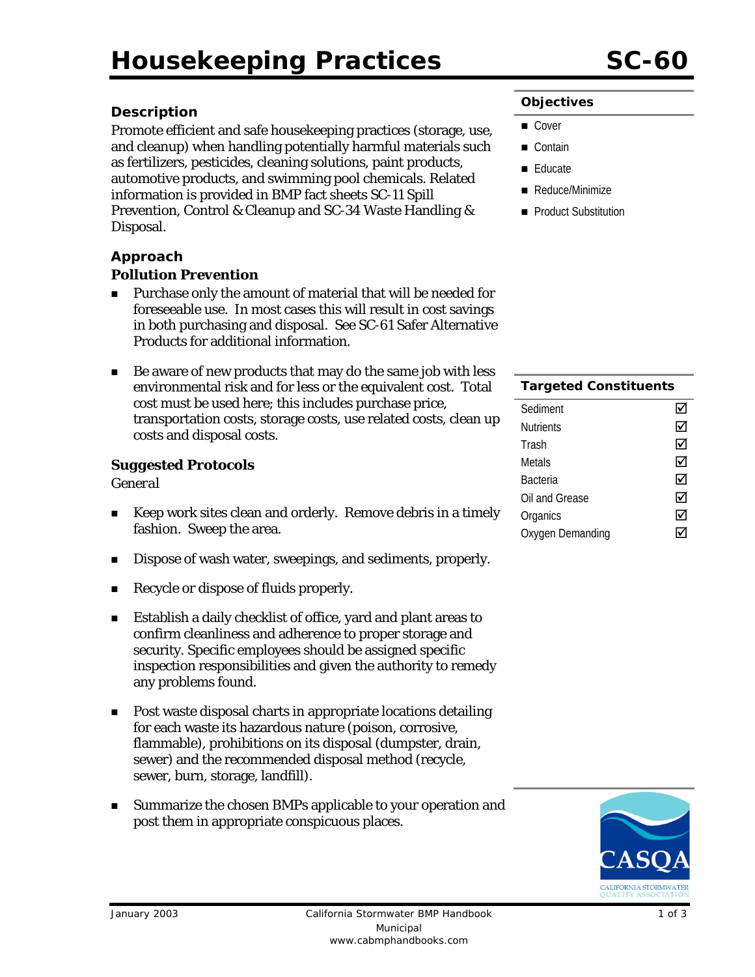# **Description**

Promote efficient and safe housekeeping practices (storage, use, and cleanup) when handling potentially harmful materials such as fertilizers, pesticides, cleaning solutions, paint products, automotive products, and swimming pool chemicals. Related information is provided in BMP fact sheets SC-11 Spill Prevention, Control & Cleanup and SC-34 Waste Handling & Disposal.

#### **Approach**

#### *Pollution Prevention*

- **Purchase only the amount of material that will be needed for** foreseeable use. In most cases this will result in cost savings in both purchasing and disposal. See SC-61 Safer Alternative Products for additional information.
- Be aware of new products that may do the same job with less environmental risk and for less or the equivalent cost. Total cost must be used here; this includes purchase price, transportation costs, storage costs, use related costs, clean up costs and disposal costs.

#### *Suggested Protocols*

#### *General*

- Keep work sites clean and orderly. Remove debris in a timely fashion. Sweep the area.
- Dispose of wash water, sweepings, and sediments, properly.
- Recycle or dispose of fluids properly.
- Establish a daily checklist of office, yard and plant areas to confirm cleanliness and adherence to proper storage and security. Specific employees should be assigned specific inspection responsibilities and given the authority to remedy any problems found.
- **Post waste disposal charts in appropriate locations detailing** for each waste its hazardous nature (poison, corrosive, flammable), prohibitions on its disposal (dumpster, drain, sewer) and the recommended disposal method (recycle, sewer, burn, storage, landfill).
- Summarize the chosen BMPs applicable to your operation and post them in appropriate conspicuous places.

#### **Objectives**

- Cover
- Contain
- **Educate**
- Reduce/Minimize
- **Product Substitution**

| <b>Targeted Constituents</b> |   |
|------------------------------|---|
| Sediment                     | ∀ |
| Nutrients                    | ☑ |
| Trash                        | ☑ |
| Metals                       | ☑ |
| Bacteria                     | ☑ |
| Oil and Grease               | ☑ |
| Organics                     | ⋈ |
| Oxygen Demanding             |   |

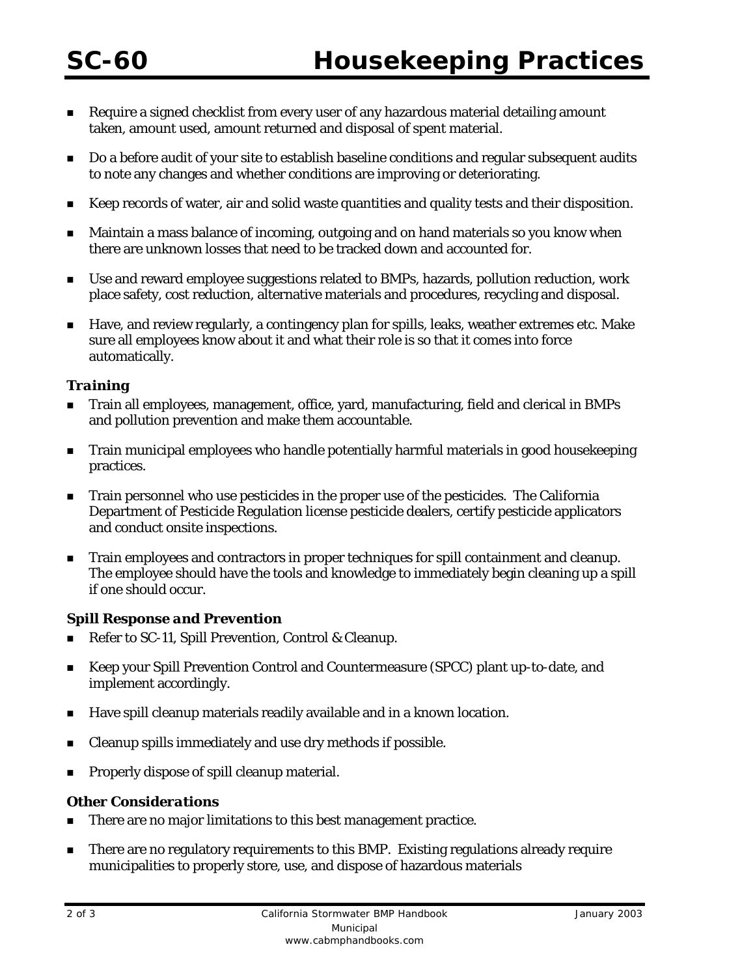- Require a signed checklist from every user of any hazardous material detailing amount taken, amount used, amount returned and disposal of spent material.
- Do a before audit of your site to establish baseline conditions and regular subsequent audits to note any changes and whether conditions are improving or deteriorating.
- Keep records of water, air and solid waste quantities and quality tests and their disposition.
- Maintain a mass balance of incoming, outgoing and on hand materials so you know when there are unknown losses that need to be tracked down and accounted for.
- Use and reward employee suggestions related to BMPs, hazards, pollution reduction, work place safety, cost reduction, alternative materials and procedures, recycling and disposal.
- Have, and review regularly, a contingency plan for spills, leaks, weather extremes etc. Make sure all employees know about it and what their role is so that it comes into force automatically.

## *Training*

- Train all employees, management, office, yard, manufacturing, field and clerical in BMPs and pollution prevention and make them accountable.
- **The Train municipal employees who handle potentially harmful materials in good housekeeping** practices.
- Train personnel who use pesticides in the proper use of the pesticides. The California Department of Pesticide Regulation license pesticide dealers, certify pesticide applicators and conduct onsite inspections.
- Train employees and contractors in proper techniques for spill containment and cleanup. The employee should have the tools and knowledge to immediately begin cleaning up a spill if one should occur.

#### *Spill Response and Prevention*

- Refer to SC-11, Spill Prevention, Control & Cleanup.
- Keep your Spill Prevention Control and Countermeasure (SPCC) plant up-to-date, and implement accordingly.
- Have spill cleanup materials readily available and in a known location.
- Cleanup spills immediately and use dry methods if possible.
- Properly dispose of spill cleanup material.

#### *Other Considerations*

- There are no major limitations to this best management practice.
- There are no regulatory requirements to this BMP. Existing regulations already require municipalities to properly store, use, and dispose of hazardous materials